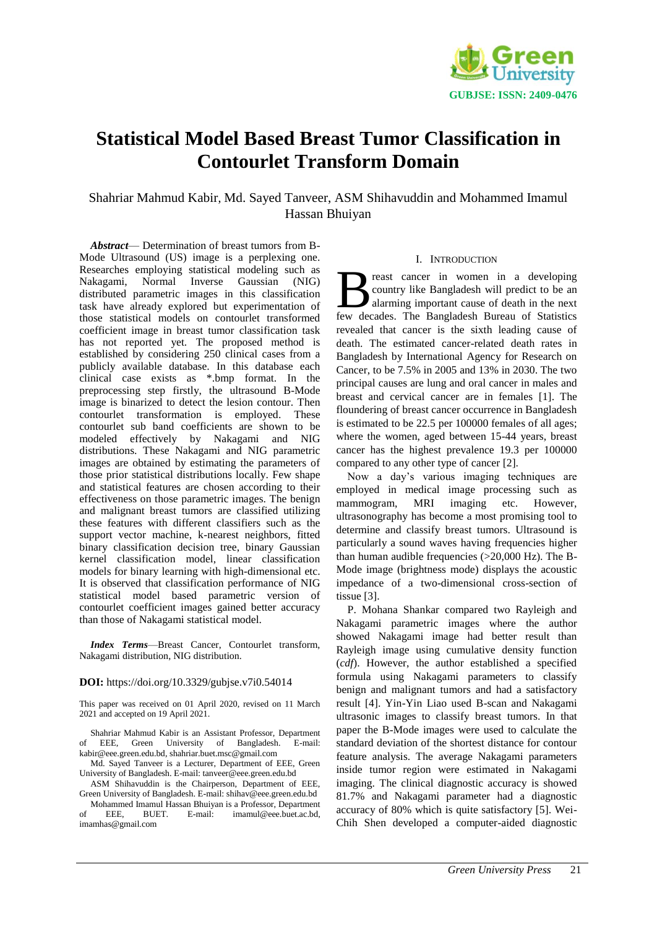

# **Statistical Model Based Breast Tumor Classification in Contourlet Transform Domain**

Shahriar Mahmud Kabir, Md. Sayed Tanveer, ASM Shihavuddin and Mohammed Imamul Hassan Bhuiyan

*Abstract*— Determination of breast tumors from B-Mode Ultrasound (US) image is a perplexing one. Researches employing statistical modeling such as Nakagami, Normal Inverse Gaussian (NIG) distributed parametric images in this classification task have already explored but experimentation of those statistical models on contourlet transformed coefficient image in breast tumor classification task has not reported yet. The proposed method is established by considering 250 clinical cases from a publicly available database. In this database each clinical case exists as \*.bmp format. In the preprocessing step firstly, the ultrasound B-Mode image is binarized to detect the lesion contour. Then contourlet transformation is employed. These contourlet sub band coefficients are shown to be modeled effectively by Nakagami and NIG distributions. These Nakagami and NIG parametric images are obtained by estimating the parameters of those prior statistical distributions locally. Few shape and statistical features are chosen according to their effectiveness on those parametric images. The benign and malignant breast tumors are classified utilizing these features with different classifiers such as the support vector machine, k-nearest neighbors, fitted binary classification decision tree, binary Gaussian kernel classification model, linear classification models for binary learning with high-dimensional etc. It is observed that classification performance of NIG statistical model based parametric version of contourlet coefficient images gained better accuracy than those of Nakagami statistical model.

*Index Terms*—Breast Cancer, Contourlet transform, Nakagami distribution, NIG distribution.

## **DOI:** https://doi.org/10.3329/gubjse.v7i0.54014

This paper was received on 01 April 2020, revised on 11 March 2021 and accepted on 19 April 2021.

Shahriar Mahmud Kabir is an Assistant Professor, Department of EEE, Green University of Bangladesh. E-mail: [kabir@eee.green.edu.bd,](mailto:kabir@eee.green.edu.bd) [shahriar.buet.msc@gmail.com](mailto:shahriar.buet.msc@gmail.com)

Md. Sayed Tanveer is a Lecturer, Department of EEE, Green University of Bangladesh. E-mail: [tanveer@eee.green.edu.bd](mailto:tanveer@eee.green.edu.bd)

ASM Shihavuddin is the Chairperson, Department of EEE, Green University of Bangladesh. E-mail: shiha[v@eee.green.edu.bd](mailto:tanveer@eee.green.edu.bd) Mohammed Imamul Hassan Bhuiyan is a Professor, Department

of EEE, BUET. E-mail: imamul@eee.buet.ac.bd, [imamhas@gmail.com](mailto:imamhas@gmail.com)

## I. INTRODUCTION

reast cancer in women in a developing country like Bangladesh will predict to be an alarming important cause of death in the next **fexall cancer** in women in a developing<br>country like Bangladesh will predict to be an<br>few decades. The Bangladesh Bureau of Statistics revealed that cancer is the sixth leading cause of death. The estimated cancer-related death rates in Bangladesh by International Agency for Research on Cancer, to be 7.5% in 2005 and 13% in 2030. The two principal causes are lung and oral cancer in males and breast and cervical cancer are in females [1]. The floundering of breast cancer occurrence in Bangladesh is estimated to be 22.5 per 100000 females of all ages; where the women, aged between 15-44 years, breast cancer has the highest prevalence 19.3 per 100000 compared to any other type of cancer [2].

Now a day's various imaging techniques are employed in medical image processing such as mammogram, MRI imaging etc. However, ultrasonography has become a most promising tool to determine and classify breast tumors. Ultrasound is particularly a sound waves having frequencies higher than human audible frequencies  $(>20,000 \text{ Hz})$ . The B-Mode image (brightness mode) displays the acoustic impedance of a two-dimensional cross-section of tissue [3].

P. Mohana Shankar compared two Rayleigh and Nakagami parametric images where the author showed Nakagami image had better result than Rayleigh image using cumulative density function (*cdf*). However, the author established a specified formula using Nakagami parameters to classify benign and malignant tumors and had a satisfactory result [4]. Yin-Yin Liao used B-scan and Nakagami ultrasonic images to classify breast tumors. In that paper the B-Mode images were used to calculate the standard deviation of the shortest distance for contour feature analysis. The average Nakagami parameters inside tumor region were estimated in Nakagami imaging. The clinical diagnostic accuracy is showed 81.7% and Nakagami parameter had a diagnostic accuracy of 80% which is quite satisfactory [5]. Wei-Chih Shen developed a computer-aided diagnostic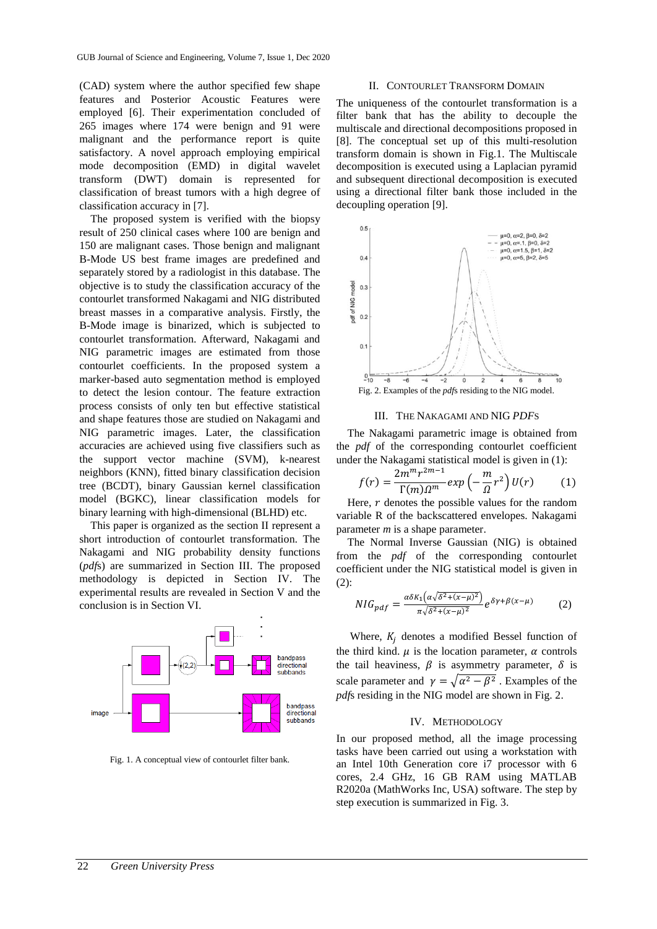(CAD) system where the author specified few shape features and Posterior Acoustic Features were employed [6]. Their experimentation concluded of 265 images where 174 were benign and 91 were malignant and the performance report is quite satisfactory. A novel approach employing empirical mode decomposition (EMD) in digital wavelet transform (DWT) domain is represented for classification of breast tumors with a high degree of classification accuracy in [7].

The proposed system is verified with the biopsy result of 250 clinical cases where 100 are benign and 150 are malignant cases. Those benign and malignant B-Mode US best frame images are predefined and separately stored by a radiologist in this database. The objective is to study the classification accuracy of the contourlet transformed Nakagami and NIG distributed breast masses in a comparative analysis. Firstly, the B-Mode image is binarized, which is subjected to contourlet transformation. Afterward, Nakagami and NIG parametric images are estimated from those contourlet coefficients. In the proposed system a marker-based auto segmentation method is employed to detect the lesion contour. The feature extraction process consists of only ten but effective statistical and shape features those are studied on Nakagami and NIG parametric images. Later, the classification accuracies are achieved using five classifiers such as the support vector machine (SVM), k-nearest neighbors (KNN), fitted binary classification decision tree (BCDT), binary Gaussian kernel classification model (BGKC), linear classification models for binary learning with high-dimensional (BLHD) etc.

This paper is organized as the section II represent a short introduction of contourlet transformation. The Nakagami and NIG probability density functions (*pdf*s) are summarized in Section III. The proposed methodology is depicted in Section IV. The experimental results are revealed in Section V and the conclusion is in Section VI.



Fig. 1. A conceptual view of contourlet filter bank.

## II. CONTOURLET TRANSFORM DOMAIN

The uniqueness of the contourlet transformation is a filter bank that has the ability to decouple the multiscale and directional decompositions proposed in [8]. The conceptual set up of this multi-resolution transform domain is shown in Fig.1. The Multiscale decomposition is executed using a Laplacian pyramid and subsequent directional decomposition is executed using a directional filter bank those included in the decoupling operation [9].



## III. THE NAKAGAMI AND NIG *PDF*S

The Nakagami parametric image is obtained from the *pdf* of the corresponding contourlet coefficient under the Nakagami statistical model is given in (1):

$$
f(r) = \frac{2m^m r^{2m-1}}{\Gamma(m)\Omega^m} \exp\left(-\frac{m}{\Omega}r^2\right)U(r) \tag{1}
$$

Here,  $r$  denotes the possible values for the random variable R of the backscattered envelopes. Nakagami parameter *m* is a shape parameter.

The Normal Inverse Gaussian (NIG) is obtained from the *pdf* of the corresponding contourlet coefficient under the NIG statistical model is given in (2):

$$
NIG_{pdf} = \frac{\alpha \delta K_1 \left( \alpha \sqrt{\delta^2 + (x - \mu)^2} \right)}{\pi \sqrt{\delta^2 + (x - \mu)^2}} e^{\delta \gamma + \beta (x - \mu)}
$$
(2)

Where,  $K_i$  denotes a modified Bessel function of the third kind.  $\mu$  is the location parameter,  $\alpha$  controls the tail heaviness,  $\beta$  is asymmetry parameter,  $\delta$  is scale parameter and  $\gamma = \sqrt{\alpha^2 - \beta^2}$ . Examples of the *pdf*s residing in the NIG model are shown in Fig. 2.

## IV. METHODOLOGY

In our proposed method, all the image processing tasks have been carried out using a workstation with an Intel 10th Generation core i7 processor with 6 cores, 2.4 GHz, 16 GB RAM using MATLAB R2020a (MathWorks Inc, USA) software. The step by step execution is summarized in Fig. 3.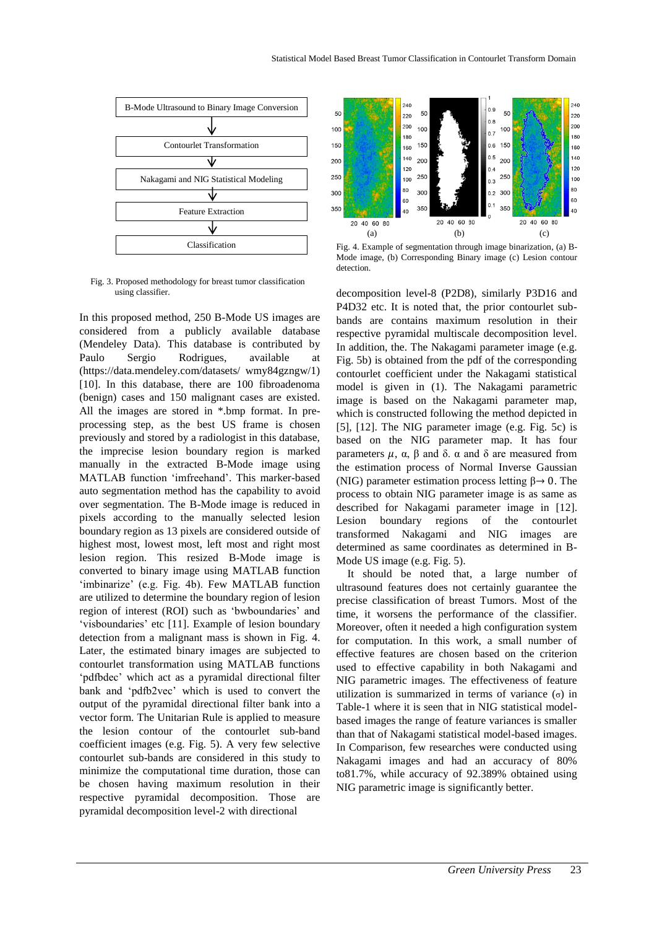

Fig. 3. Proposed methodology for breast tumor classification using classifier.

In this proposed method, 250 B-Mode US images are considered from a publicly available database (Mendeley Data). This database is contributed by Paulo Sergio Rodrigues, available at (https://data.mendeley.com/datasets/ wmy84gzngw/1) [10]. In this database, there are 100 fibroadenoma (benign) cases and 150 malignant cases are existed. All the images are stored in \*.bmp format. In preprocessing step, as the best US frame is chosen previously and stored by a radiologist in this database, the imprecise lesion boundary region is marked manually in the extracted B-Mode image using MATLAB function 'imfreehand'. This marker-based auto segmentation method has the capability to avoid over segmentation. The B-Mode image is reduced in pixels according to the manually selected lesion boundary region as 13 pixels are considered outside of highest most, lowest most, left most and right most lesion region. This resized B-Mode image is converted to binary image using MATLAB function 'imbinarize' (e.g. Fig. 4b). Few MATLAB function are utilized to determine the boundary region of lesion region of interest (ROI) such as 'bwboundaries' and 'visboundaries' etc [11]. Example of lesion boundary detection from a malignant mass is shown in Fig. 4. Later, the estimated binary images are subjected to contourlet transformation using MATLAB functions 'pdfbdec' which act as a pyramidal directional filter bank and 'pdfb2vec' which is used to convert the output of the pyramidal directional filter bank into a vector form. The Unitarian Rule is applied to measure the lesion contour of the contourlet sub-band coefficient images (e.g. Fig. 5). A very few selective contourlet sub-bands are considered in this study to minimize the computational time duration, those can be chosen having maximum resolution in their respective pyramidal decomposition. Those are pyramidal decomposition level-2 with directional



Fig. 4. Example of segmentation through image binarization, (a) B-Mode image, (b) Corresponding Binary image (c) Lesion contour detection.

decomposition level-8 (P2D8), similarly P3D16 and P4D32 etc. It is noted that, the prior contourlet subbands are contains maximum resolution in their respective pyramidal multiscale decomposition level. In addition, the. The Nakagami parameter image (e.g. Fig. 5b) is obtained from the pdf of the corresponding contourlet coefficient under the Nakagami statistical model is given in (1). The Nakagami parametric image is based on the Nakagami parameter map, which is constructed following the method depicted in [5], [12]. The NIG parameter image (e.g. Fig. 5c) is based on the NIG parameter map. It has four parameters  $\mu$ , α, β and δ. α and δ are measured from the estimation process of Normal Inverse Gaussian (NIG) parameter estimation process letting  $\beta \rightarrow 0$ . The process to obtain NIG parameter image is as same as described for Nakagami parameter image in [12]. Lesion boundary regions of the contourlet transformed Nakagami and NIG images are determined as same coordinates as determined in B-Mode US image (e.g. Fig. 5).

 It should be noted that, a large number of ultrasound features does not certainly guarantee the precise classification of breast Tumors. Most of the time, it worsens the performance of the classifier. Moreover, often it needed a high configuration system for computation. In this work, a small number of effective features are chosen based on the criterion used to effective capability in both Nakagami and NIG parametric images. The effectiveness of feature utilization is summarized in terms of variance  $(\sigma)$  in Table-1 where it is seen that in NIG statistical modelbased images the range of feature variances is smaller than that of Nakagami statistical model-based images. In Comparison, few researches were conducted using Nakagami images and had an accuracy of 80% to81.7%, while accuracy of 92.389% obtained using NIG parametric image is significantly better.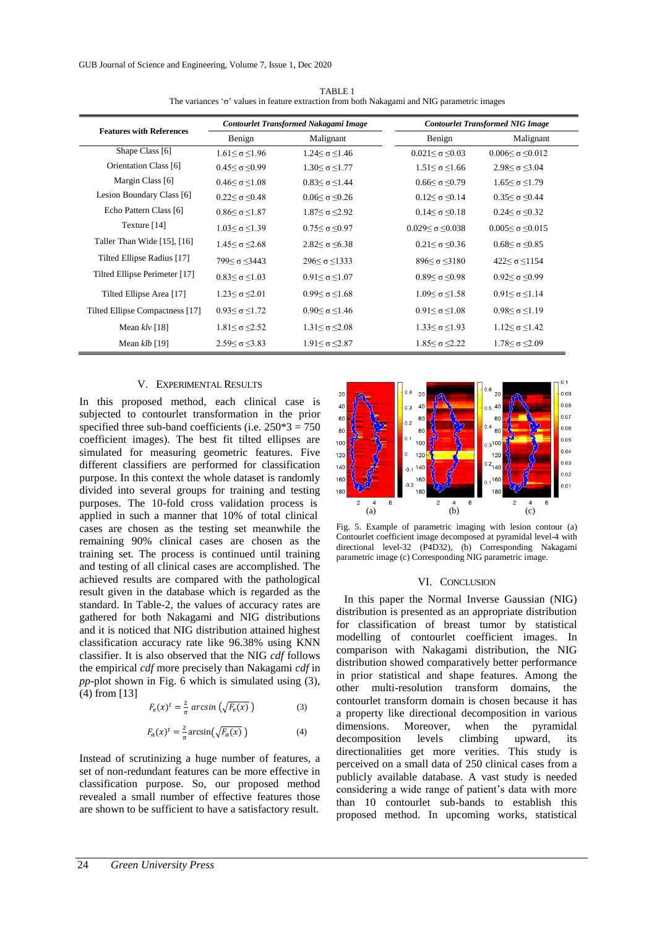| <b>Features with References</b> | Contourlet Transformed Nakagami Image |                              | <b>Contourlet Transformed NIG Image</b> |                                |
|---------------------------------|---------------------------------------|------------------------------|-----------------------------------------|--------------------------------|
|                                 | Benign                                | Malignant                    | Benign                                  | Malignant                      |
| Shape Class [6]                 | $1.61 \leq \sigma \leq 1.96$          | $1.24 \leq \sigma \leq 1.46$ | $0.021 \leq \sigma \leq 0.03$           | $0.006 \leq \sigma \leq 0.012$ |
| Orientation Class [6]           | $0.45 \leq \sigma \leq 0.99$          | $1.30 \leq \sigma \leq 1.77$ | $1.51 \leq \sigma \leq 1.66$            | $2.98 \leq \sigma \leq 3.04$   |
| Margin Class [6]                | $0.46 < \sigma < 1.08$                | $0.83 \leq \sigma \leq 1.44$ | $0.66 \leq \sigma \leq 0.79$            | $1.65 \leq \sigma \leq 1.79$   |
| Lesion Boundary Class [6]       | $0.22 \leq \sigma \leq 0.48$          | $0.06<\sigma \leq 0.26$      | $0.12 \leq \sigma \leq 0.14$            | $0.35<\sigma<0.44$             |
| Echo Pattern Class [6]          | $0.86 < \sigma < 1.87$                | $1.87 \leq \sigma \leq 2.92$ | $0.14 < \sigma < 0.18$                  | $0.24 < \sigma < 0.32$         |
| Texture $[14]$                  | $1.03 \leq \sigma \leq 1.39$          | $0.75 \leq \sigma \leq 0.97$ | $0.029$ ≤ σ ≤0.038                      | $0.005 \leq \sigma \leq 0.015$ |
| Taller Than Wide [15], [16]     | $1.45 \leq \sigma \leq 2.68$          | $2.82 \leq \sigma \leq 6.38$ | $0.21 \leq \sigma \leq 0.36$            | $0.68 \leq \sigma \leq 0.85$   |
| Tilted Ellipse Radius [17]      | $799 \leq \sigma \leq 3443$           | $296 \leq \sigma \leq 1333$  | $896 \leq \sigma \leq 3180$             | $422$ ≤ $\sigma$ ≤1154         |
| Tilted Ellipse Perimeter [17]   | $0.83<\sigma<1.03$                    | $0.91 < \sigma < 1.07$       | $0.89 \leq \sigma \leq 0.98$            | $0.92 \leq \sigma \leq 0.99$   |
| Tilted Ellipse Area [17]        | $1.23 \leq \sigma \leq 2.01$          | $0.99 \leq \sigma \leq 1.68$ | $1.09$ ≤ σ ≤1.58                        | $0.91 \leq \sigma \leq 1.14$   |
| Tilted Ellipse Compactness [17] | $0.93<\sigma<1.72$                    | $0.90 \leq \sigma \leq 1.46$ | $0.91 \leq \sigma \leq 1.08$            | $0.98 \leq \sigma \leq 1.19$   |
| Mean $klv$ [18]                 | $1.81 \leq \sigma \leq 2.52$          | $1.31 \leq \sigma \leq 2.08$ | $1.33 \leq \sigma \leq 1.93$            | $1.12 \leq \sigma \leq 1.42$   |
| Mean $klb$ [19]                 | $2.59 \leq \sigma \leq 3.83$          | $1.91 \leq \sigma \leq 2.87$ | $1.85 \leq \sigma \leq 2.22$            | $1.78 \leq \sigma \leq 2.09$   |

TABLE 1 The variances 'σ' values in feature extraction from both Nakagami and NIG parametric images

# V. EXPERIMENTAL RESULTS

In this proposed method, each clinical case is subjected to contourlet transformation in the prior specified three sub-band coefficients (i.e.  $250*3 = 750$ coefficient images). The best fit tilted ellipses are simulated for measuring geometric features. Five different classifiers are performed for classification purpose. In this context the whole dataset is randomly divided into several groups for training and testing purposes. The 10-fold cross validation process is applied in such a manner that 10% of total clinical cases are chosen as the testing set meanwhile the remaining 90% clinical cases are chosen as the training set. The process is continued until training and testing of all clinical cases are accomplished. The achieved results are compared with the pathological result given in the database which is regarded as the standard. In Table-2, the values of accuracy rates are gathered for both Nakagami and NIG distributions and it is noticed that NIG distribution attained highest classification accuracy rate like 96.38% using KNN classifier. It is also observed that the NIG *cdf* follows the empirical *cdf* more precisely than Nakagami *cdf* in *pp*-plot shown in Fig. 6 which is simulated using (3), (4) from [13]

$$
F_e(x)^t = \frac{2}{\pi} \arcsin\left(\sqrt{F_e(x)}\right) \tag{3}
$$

$$
F_a(x)^t = \frac{2}{\pi} \arcsin\left(\sqrt{F_a(x)}\right) \tag{4}
$$

Instead of scrutinizing a huge number of features, a set of non-redundant features can be more effective in classification purpose. So, our proposed method revealed a small number of effective features those are shown to be sufficient to have a satisfactory result.



Fig. 5. Example of parametric imaging with lesion contour (a) Contourlet coefficient image decomposed at pyramidal level-4 with directional level-32 (P4D32), (b) Corresponding Nakagami parametric image (c) Corresponding NIG parametric image.

## VI. CONCLUSION

In this paper the Normal Inverse Gaussian (NIG) distribution is presented as an appropriate distribution for classification of breast tumor by statistical modelling of contourlet coefficient images. In comparison with Nakagami distribution, the NIG distribution showed comparatively better performance in prior statistical and shape features. Among the other multi-resolution transform domains, the contourlet transform domain is chosen because it has a property like directional decomposition in various dimensions. Moreover, when the pyramidal decomposition levels climbing upward, its directionalities get more verities. This study is perceived on a small data of 250 clinical cases from a publicly available database. A vast study is needed considering a wide range of patient's data with more than 10 contourlet sub-bands to establish this proposed method. In upcoming works, statistical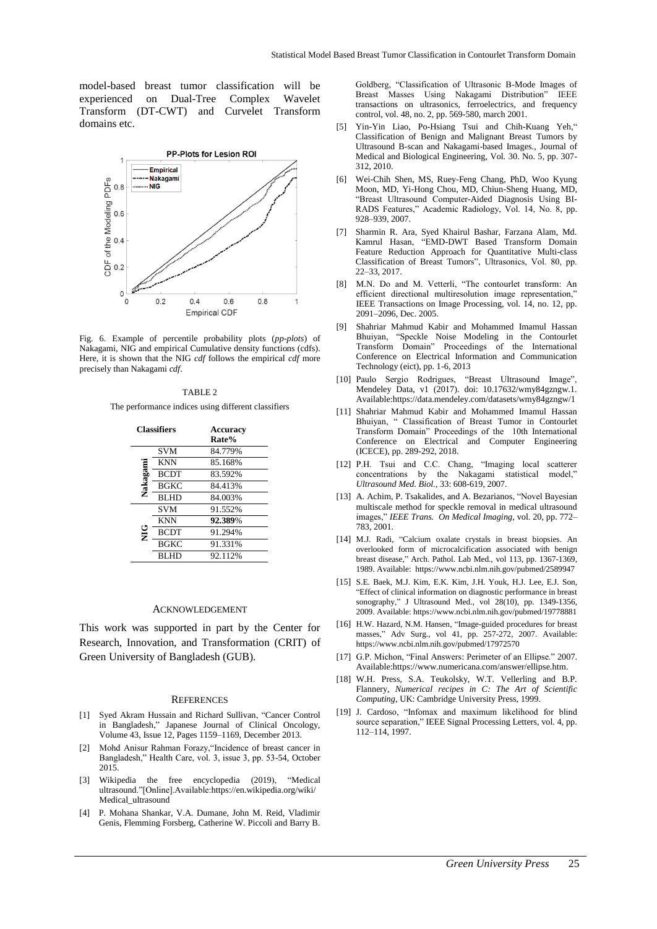model-based breast tumor classification will be experienced on Dual-Tree Complex Wavelet Transform (DT-CWT) and Curvelet Transform domains etc.



Fig. 6. Example of percentile probability plots (*pp-plots*) of Nakagami, NIG and empirical Cumulative density functions (cdfs). Here, it is shown that the NIG *cdf* follows the empirical *cdf* more precisely than Nakagami *cdf*.

## TABLE 2

The performance indices using different classifiers

| <b>Classifiers</b> |             | Accuracy<br>Rate% |  |
|--------------------|-------------|-------------------|--|
|                    | <b>SVM</b>  | 84.779%           |  |
| Nakagami           | <b>KNN</b>  | 85.168%           |  |
|                    | <b>BCDT</b> | 83.592%           |  |
|                    | <b>BGKC</b> | 84.413%           |  |
|                    | <b>BLHD</b> | 84.003%           |  |
| С<br>М             | <b>SVM</b>  | 91.552%           |  |
|                    | <b>KNN</b>  | 92.389%           |  |
|                    | <b>BCDT</b> | 91.294%           |  |
|                    | <b>BGKC</b> | 91.331%           |  |
|                    | <b>BLHD</b> | 92.112%           |  |

### ACKNOWLEDGEMENT

This work was supported in part by the Center for Research, Innovation, and Transformation (CRIT) of Green University of Bangladesh (GUB).

#### **REFERENCES**

- [1] Syed Akram Hussain and Richard Sullivan, "Cancer Control in Bangladesh," Japanese Journal of Clinical Oncology, Volume 43, Issue 12, Pages 1159–1169, December 2013.
- [2] Mohd Anisur Rahman Forazy,"Incidence of breast cancer in Bangladesh," Health Care, vol. 3, issue 3, pp. 53-54, October 2015.
- [3] Wikipedia the free encyclopedia (2019), "Medical ultrasound."[Online].Available:https://en.wikipedia.org/wiki/ Medical\_ultrasound
- [4] P. Mohana Shankar, V.A. Dumane, John M. Reid, Vladimir Genis, Flemming Forsberg, Catherine W. Piccoli and Barry B.

Goldberg, "Classification of Ultrasonic B-Mode Images of Breast Masses Using Nakagami Distribution" IEEE transactions on ultrasonics, ferroelectrics, and frequency control, vol. 48, no. 2, pp. 569-580, march 2001.

- [5] Yin-Yin Liao, Po-Hsiang Tsui and Chih-Kuang Yeh," Classification of Benign and Malignant Breast Tumors by Ultrasound B-scan and Nakagami-based Images., Journal of Medical and Biological Engineering, Vol. 30. No. 5, pp. 307- 312, 2010.
- [6] Wei-Chih Shen, MS, Ruey-Feng Chang, PhD, Woo Kyung Moon, MD, Yi-Hong Chou, MD, Chiun-Sheng Huang, MD, "Breast Ultrasound Computer-Aided Diagnosis Using BI-RADS Features," Academic Radiology, Vol. 14, No. 8, pp. 928–939, 2007.
- [7] Sharmin R. Ara, Syed Khairul Bashar, Farzana Alam, Md. Kamrul Hasan, "EMD-DWT Based Transform Domain Feature Reduction Approach for Quantitative Multi-class Classification of Breast Tumors", Ultrasonics, Vol. 80, pp. 22–33, 2017.
- [8] M.N. Do and M. Vetterli, "The contourlet transform: An efficient directional multiresolution image representation," IEEE Transactions on Image Processing, vol. 14, no. 12, pp. 2091–2096, Dec. 2005.
- [9] Shahriar Mahmud Kabir and Mohammed Imamul Hassan Bhuiyan, "Speckle Noise Modeling in the Contourlet Transform Domain" Proceedings of the International Conference on Electrical Information and Communication Technology (eict), pp. 1-6, 2013
- [10] Paulo Sergio Rodrigues, "Breast Ultrasound Image", Mendeley Data, v1 (2017). doi: 10.17632/wmy84gzngw.1. Available:https://data.mendeley.com/datasets/wmy84gzngw/1
- [11] Shahriar Mahmud Kabir and Mohammed Imamul Hassan Bhuiyan, " Classification of Breast Tumor in Contourlet Transform Domain" Proceedings of the 10th International Conference on Electrical and Computer Engineering (ICECE), pp. 289-292, 2018.
- [12] P.H. Tsui and C.C. Chang, "Imaging local scatterer concentrations by the Nakagami statistical model," *Ultrasound Med. Biol.*, 33: 608-619, 2007.
- [13] A. Achim, P. Tsakalides, and A. Bezarianos, "Novel Bayesian multiscale method for speckle removal in medical ultrasound images," *IEEE Trans. On Medical Imaging*, vol. 20, pp. 772– 783, 2001.
- [14] M.J. Radi, "Calcium oxalate crystals in breast biopsies. An overlooked form of microcalcification associated with benign breast disease," Arch. Pathol. Lab Med., vol 113, pp. 1367-1369, 1989. Available:<https://www.ncbi.nlm.nih.gov/pubmed/2589947>
- [15] S.E. Baek, M.J. Kim, E.K. Kim, J.H. Youk, H.J. Lee, E.J. Son, "Effect of clinical information on diagnostic performance in breast sonography," J Ultrasound Med., vol 28(10), pp. 1349-1356, 2009. Available[: https://www.ncbi.nlm.nih.gov/pubmed/19778881](https://www.ncbi.nlm.nih.gov/pubmed/19778881)
- [16] H.W. Hazard, N.M. Hansen, "Image-guided procedures for breast masses," Adv Surg., vol 41, pp. 257-272, 2007. Available: <https://www.ncbi.nlm.nih.gov/pubmed/17972570>
- [17] G.P. Michon, "Final Answers: Perimeter of an Ellipse." 2007. Available:https://www.numericana.com/answer/ellipse.htm.
- [18] W.H. Press, S.A. Teukolsky, W.T. Vellerling and B.P. Flannery, *Numerical recipes in C: The Art of Scientific Computing*, UK: Cambridge University Press, 1999.
- [19] J. Cardoso, "Infomax and maximum likelihood for blind source separation," IEEE Signal Processing Letters, vol. 4, pp. 112–114, 1997.